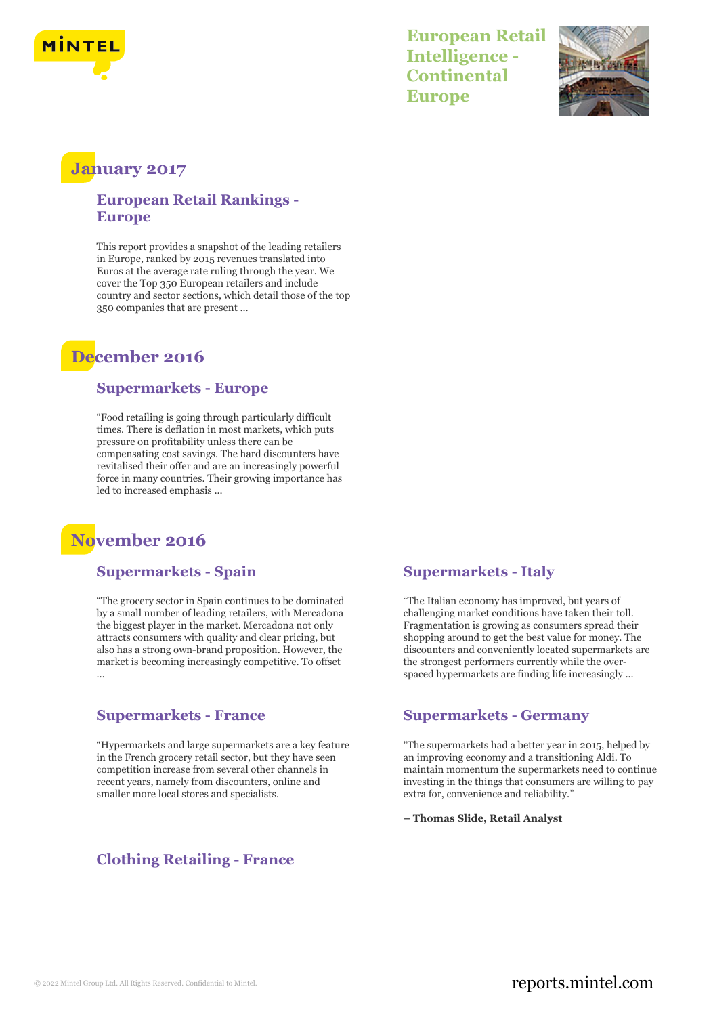

**European Retail Intelligence - Continental Europe**



## **January 2017**

### **European Retail Rankings - Europe**

This report provides a snapshot of the leading retailers in Europe, ranked by 2015 revenues translated into Euros at the average rate ruling through the year. We cover the Top 350 European retailers and include country and sector sections, which detail those of the top 350 companies that are present ...

## **December 2016**

#### **Supermarkets - Europe**

"Food retailing is going through particularly difficult times. There is deflation in most markets, which puts pressure on profitability unless there can be compensating cost savings. The hard discounters have revitalised their offer and are an increasingly powerful force in many countries. Their growing importance has led to increased emphasis ...

# **November 2016**

#### **Supermarkets - Spain**

"The grocery sector in Spain continues to be dominated by a small number of leading retailers, with Mercadona the biggest player in the market. Mercadona not only attracts consumers with quality and clear pricing, but also has a strong own-brand proposition. However, the market is becoming increasingly competitive. To offset ...

#### **Supermarkets - France**

"Hypermarkets and large supermarkets are a key feature in the French grocery retail sector, but they have seen competition increase from several other channels in recent years, namely from discounters, online and smaller more local stores and specialists.

#### **Supermarkets - Italy**

"The Italian economy has improved, but years of challenging market conditions have taken their toll. Fragmentation is growing as consumers spread their shopping around to get the best value for money. The discounters and conveniently located supermarkets are the strongest performers currently while the overspaced hypermarkets are finding life increasingly ...

#### **Supermarkets - Germany**

"The supermarkets had a better year in 2015, helped by an improving economy and a transitioning Aldi. To maintain momentum the supermarkets need to continue investing in the things that consumers are willing to pay extra for, convenience and reliability."

**– Thomas Slide, Retail Analyst**

## **Clothing Retailing - France**